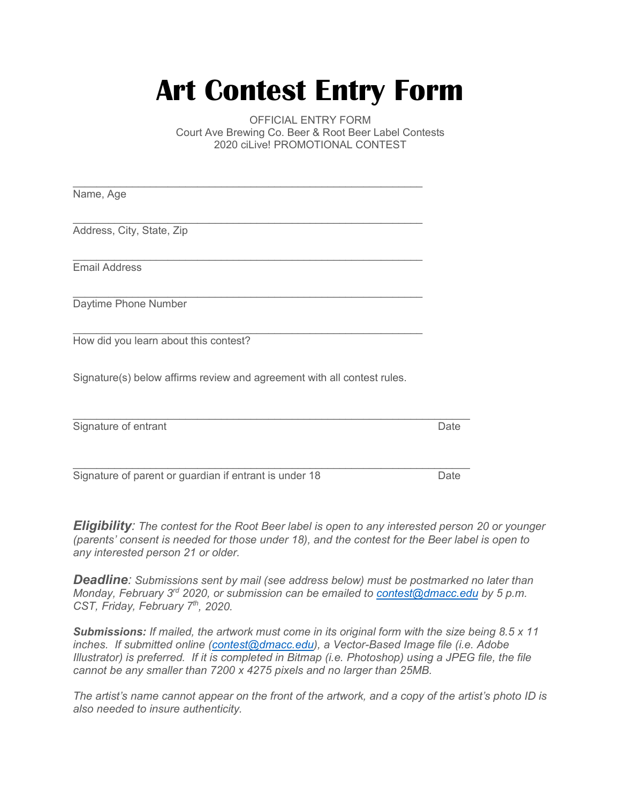## **Art Contest Entry Form**

 Court Ave Brewing Co. Beer & Root Beer Label Contests 2020 ciLive! PROMOTIONAL CONTEST OFFICIAL ENTRY FORM

| Name, Age                                                               |      |
|-------------------------------------------------------------------------|------|
|                                                                         |      |
| Address, City, State, Zip                                               |      |
|                                                                         |      |
| <b>Email Address</b>                                                    |      |
| Daytime Phone Number                                                    |      |
| How did you learn about this contest?                                   |      |
| Signature(s) below affirms review and agreement with all contest rules. |      |
| Signature of entrant                                                    | Date |

Signature of parent or guardian if entrant is under 18  $\hskip10mm$  pate Date  $\overline{\phantom{a}}$  ,  $\overline{\phantom{a}}$  ,  $\overline{\phantom{a}}$  ,  $\overline{\phantom{a}}$  ,  $\overline{\phantom{a}}$  ,  $\overline{\phantom{a}}$  ,  $\overline{\phantom{a}}$  ,  $\overline{\phantom{a}}$  ,  $\overline{\phantom{a}}$  ,  $\overline{\phantom{a}}$  ,  $\overline{\phantom{a}}$  ,  $\overline{\phantom{a}}$  ,  $\overline{\phantom{a}}$  ,  $\overline{\phantom{a}}$  ,  $\overline{\phantom{a}}$  ,  $\overline{\phantom{a}}$ 

 *any interested person 21 or older. Eligibility: The contest for the Root Beer label is open to any interested person 20 or younger (parents' consent is needed for those under 18), and the contest for the Beer label is open to* 

CST, Friday, February 7<sup>th</sup>, 2020. *Deadline: Submissions sent by mail (see address below) must be postmarked no later than Monday, February 3rd 2020, or submission can be emailed to [contest@dmacc.edu](mailto:contest@dmacc.edu) by 5 p.m.* 

 *cannot be any smaller than 7200 x 4275 pixels and no larger than 25MB. Submissions: If mailed, the artwork must come in its original form with the size being 8.5 x 11 inches. If submitted online [\(contest@dmacc.edu\)](mailto:contest@dmacc.edu), a Vector-Based Image file (i.e. Adobe Illustrator) is preferred. If it is completed in Bitmap (i.e. Photoshop) using a JPEG file, the file* 

*The artist's name cannot appear on the front of the artwork, and a copy of the artist's photo ID is also needed to insure authenticity.*